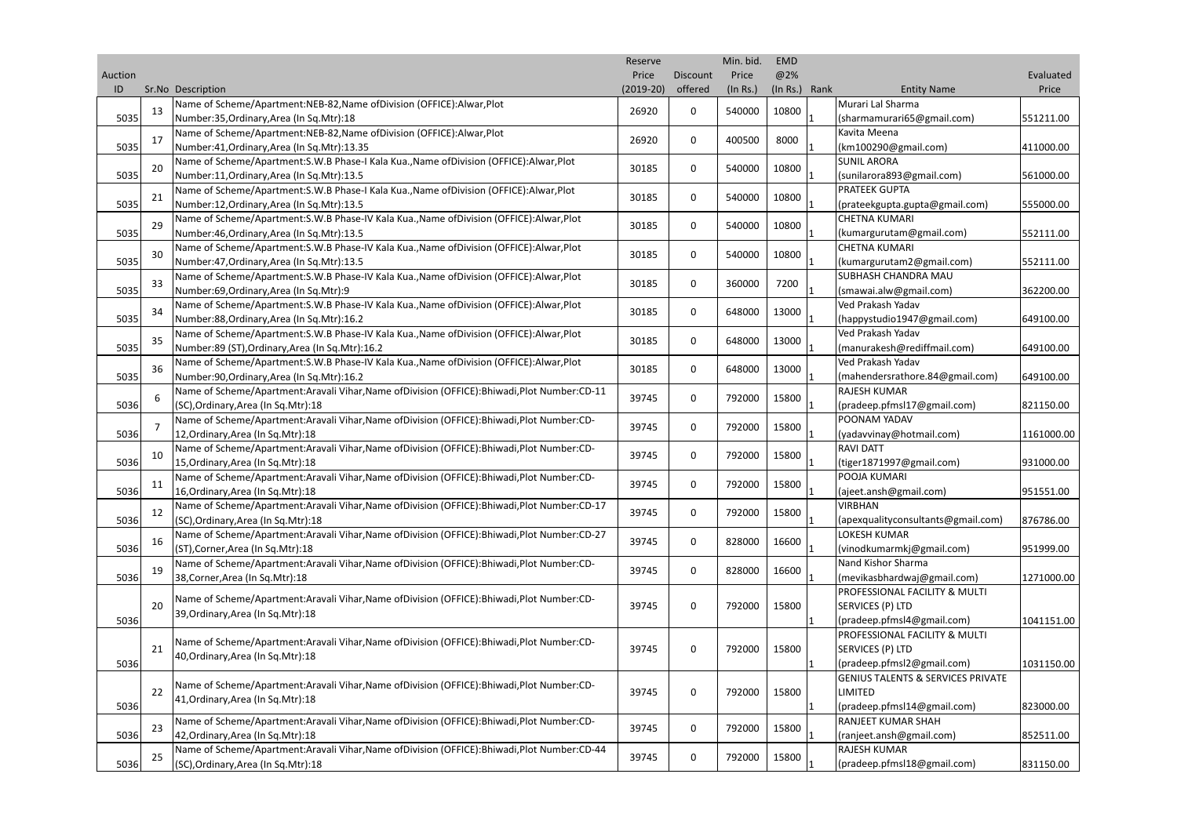|         |    |                                                                                           | Reserve     |             | Min. bid. | <b>EMD</b>    |                                              |            |
|---------|----|-------------------------------------------------------------------------------------------|-------------|-------------|-----------|---------------|----------------------------------------------|------------|
| Auction |    |                                                                                           | Price       | Discount    | Price     | @2%           |                                              | Evaluated  |
| ID      |    | Sr.No Description                                                                         | $(2019-20)$ | offered     | (In Rs.)  | (In Rs.) Rank | <b>Entity Name</b>                           | Price      |
|         | 13 | Name of Scheme/Apartment:NEB-82,Name ofDivision (OFFICE):Alwar,Plot                       | 26920       | 0           | 540000    | 10800         | Murari Lal Sharma                            |            |
| 5035    |    | Number:35, Ordinary, Area (In Sq. Mtr):18                                                 |             |             |           |               | (sharmamurari65@gmail.com)                   | 551211.00  |
|         |    | Name of Scheme/Apartment:NEB-82,Name ofDivision (OFFICE):Alwar,Plot                       |             |             |           |               | Kavita Meena                                 |            |
| 5035    | 17 | Number: 41, Ordinary, Area (In Sq. Mtr): 13.35                                            | 26920       | 0           | 400500    | 8000          | (km100290@gmail.com)                         | 411000.00  |
|         |    | Name of Scheme/Apartment:S.W.B Phase-I Kala Kua., Name of Division (OFFICE): Alwar, Plot  |             |             |           |               | <b>SUNIL ARORA</b>                           |            |
| 5035    | 20 | Number:11, Ordinary, Area (In Sq. Mtr): 13.5                                              | 30185       | 0           | 540000    | 10800         | (sunilarora893@gmail.com)                    | 561000.00  |
|         |    | Name of Scheme/Apartment:S.W.B Phase-I Kala Kua., Name of Division (OFFICE): Alwar, Plot  |             |             |           |               | PRATEEK GUPTA                                |            |
| 5035    | 21 | Number:12, Ordinary, Area (In Sq. Mtr):13.5                                               | 30185       | 0           | 540000    | 10800         | (prateekgupta.gupta@gmail.com)               | 555000.00  |
|         |    | Name of Scheme/Apartment:S.W.B Phase-IV Kala Kua.,Name ofDivision (OFFICE):Alwar,Plot     |             |             |           |               | <b>CHETNA KUMARI</b>                         |            |
| 5035    | 29 | Number:46, Ordinary, Area (In Sq. Mtr):13.5                                               | 30185       | 0           | 540000    | 10800         | (kumargurutam@gmail.com)                     | 552111.00  |
|         |    | Name of Scheme/Apartment:S.W.B Phase-IV Kala Kua., Name of Division (OFFICE): Alwar, Plot |             |             |           |               | <b>CHETNA KUMARI</b>                         |            |
| 5035    | 30 | Number:47, Ordinary, Area (In Sq. Mtr):13.5                                               | 30185       | 0           | 540000    | 10800         | (kumargurutam2@gmail.com)                    | 552111.00  |
|         |    | Name of Scheme/Apartment:S.W.B Phase-IV Kala Kua., Name of Division (OFFICE): Alwar, Plot |             |             |           |               | SUBHASH CHANDRA MAU                          |            |
| 5035    | 33 | Number:69, Ordinary, Area (In Sq. Mtr):9                                                  | 30185       | $\mathbf 0$ | 360000    | 7200          | (smawai.alw@gmail.com)                       | 362200.00  |
|         |    | Name of Scheme/Apartment:S.W.B Phase-IV Kala Kua., Name of Division (OFFICE): Alwar, Plot |             |             |           |               | Ved Prakash Yadav                            |            |
| 5035    | 34 |                                                                                           | 30185       | 0           | 648000    | 13000         | (happystudio1947@gmail.com)                  |            |
|         |    | Number:88, Ordinary, Area (In Sq. Mtr): 16.2                                              |             |             |           |               | Ved Prakash Yadav                            | 649100.00  |
|         | 35 | Name of Scheme/Apartment:S.W.B Phase-IV Kala Kua., Name of Division (OFFICE): Alwar, Plot | 30185       | 0           | 648000    | 13000         |                                              |            |
| 5035    |    | Number:89 (ST), Ordinary, Area (In Sq. Mtr):16.2                                          |             |             |           |               | (manurakesh@rediffmail.com)                  | 649100.00  |
|         | 36 | Name of Scheme/Apartment:S.W.B Phase-IV Kala Kua., Name of Division (OFFICE): Alwar, Plot | 30185       | 0           | 648000    | 13000         | Ved Prakash Yadav                            |            |
| 5035    |    | Number: 90, Ordinary, Area (In Sq. Mtr): 16.2                                             |             |             |           |               | (mahendersrathore.84@gmail.com)              | 649100.00  |
|         | 6  | Name of Scheme/Apartment:Aravali Vihar,Name ofDivision (OFFICE):Bhiwadi,Plot Number:CD-11 | 39745       | 0           | 792000    | 15800         | <b>RAJESH KUMAR</b>                          |            |
| 5036    |    | (SC), Ordinary, Area (In Sq. Mtr): 18                                                     |             |             |           |               | (pradeep.pfmsl17@gmail.com)                  | 821150.00  |
|         |    | Name of Scheme/Apartment:Aravali Vihar,Name ofDivision (OFFICE):Bhiwadi,Plot Number:CD-   | 39745       | 0           | 792000    | 15800         | POONAM YADAV                                 |            |
| 5036    |    | 12, Ordinary, Area (In Sq. Mtr): 18                                                       |             |             |           |               | (yadavvinay@hotmail.com)                     | 1161000.00 |
|         | 10 | Name of Scheme/Apartment:Aravali Vihar,Name ofDivision (OFFICE):Bhiwadi,Plot Number:CD-   | 39745       | 0           | 792000    | 15800         | <b>RAVI DATT</b>                             |            |
| 5036    |    | 15, Ordinary, Area (In Sq. Mtr): 18                                                       |             |             |           |               | (tiger1871997@gmail.com)                     | 931000.00  |
|         | 11 | Name of Scheme/Apartment:Aravali Vihar,Name ofDivision (OFFICE):Bhiwadi,Plot Number:CD-   | 39745       | 0           | 792000    | 15800         | POOJA KUMARI                                 |            |
| 5036    |    | 16, Ordinary, Area (In Sq. Mtr): 18                                                       |             |             |           |               | (ajeet.ansh@gmail.com)                       | 951551.00  |
|         |    | Name of Scheme/Apartment:Aravali Vihar,Name ofDivision (OFFICE):Bhiwadi,Plot Number:CD-17 |             |             |           |               | <b>VIRBHAN</b>                               |            |
| 5036    | 12 | (SC), Ordinary, Area (In Sq. Mtr): 18                                                     | 39745       | 0           | 792000    | 15800         | (apexqualityconsultants@gmail.com)           | 876786.00  |
|         |    | Name of Scheme/Apartment:Aravali Vihar,Name ofDivision (OFFICE):Bhiwadi,Plot Number:CD-27 |             |             |           |               | LOKESH KUMAR                                 |            |
| 5036    | 16 | (ST), Corner, Area (In Sq. Mtr): 18                                                       | 39745       | 0           | 828000    | 16600         | (vinodkumarmkj@gmail.com)                    | 951999.00  |
|         |    | Name of Scheme/Apartment:Aravali Vihar,Name ofDivision (OFFICE):Bhiwadi,Plot Number:CD-   |             |             |           |               | Nand Kishor Sharma                           |            |
| 5036    | 19 | 38, Corner, Area (In Sq. Mtr): 18                                                         | 39745       | 0           | 828000    | 16600         | (mevikasbhardwaj@gmail.com)                  | 1271000.00 |
|         |    |                                                                                           |             |             |           |               | PROFESSIONAL FACILITY & MULTI                |            |
|         | 20 | Name of Scheme/Apartment:Aravali Vihar,Name ofDivision (OFFICE):Bhiwadi,Plot Number:CD-   | 39745       | 0           | 792000    | 15800         | SERVICES (P) LTD                             |            |
| 5036    |    | 39, Ordinary, Area (In Sq. Mtr): 18                                                       |             |             |           |               | (pradeep.pfmsl4@gmail.com)                   | 1041151.00 |
|         |    |                                                                                           |             |             |           |               | PROFESSIONAL FACILITY & MULTI                |            |
|         | 21 | Name of Scheme/Apartment:Aravali Vihar,Name ofDivision (OFFICE):Bhiwadi,Plot Number:CD-   | 39745       | 0           | 792000    | 15800         | SERVICES (P) LTD                             |            |
| 5036    |    | 40, Ordinary, Area (In Sq. Mtr): 18                                                       |             |             |           |               | (pradeep.pfmsl2@gmail.com)                   | 1031150.00 |
|         |    |                                                                                           |             |             |           |               | <b>GENIUS TALENTS &amp; SERVICES PRIVATE</b> |            |
|         | 22 | Name of Scheme/Apartment:Aravali Vihar,Name ofDivision (OFFICE):Bhiwadi,Plot Number:CD-   |             | $\pmb{0}$   | 792000    | 15800         | LIMITED                                      |            |
|         |    | 41, Ordinary, Area (In Sq. Mtr): 18                                                       | 39745       |             |           |               |                                              |            |
| 5036    |    |                                                                                           |             |             |           |               | (pradeep.pfmsl14@gmail.com)                  | 823000.00  |
|         | 23 | Name of Scheme/Apartment:Aravali Vihar,Name ofDivision (OFFICE):Bhiwadi,Plot Number:CD-   | 39745       | 0           | 792000    | 15800         | RANJEET KUMAR SHAH                           |            |
| 5036    |    | 42, Ordinary, Area (In Sq. Mtr): 18                                                       |             |             |           |               | (ranjeet.ansh@gmail.com)                     | 852511.00  |
|         | 25 | Name of Scheme/Apartment:Aravali Vihar,Name ofDivision (OFFICE):Bhiwadi,Plot Number:CD-44 | 39745       | 0           | 792000    | 15800         | <b>RAJESH KUMAR</b>                          |            |
| 5036    |    | (SC), Ordinary, Area (In Sq. Mtr): 18                                                     |             |             |           |               | (pradeep.pfmsl18@gmail.com)                  | 831150.00  |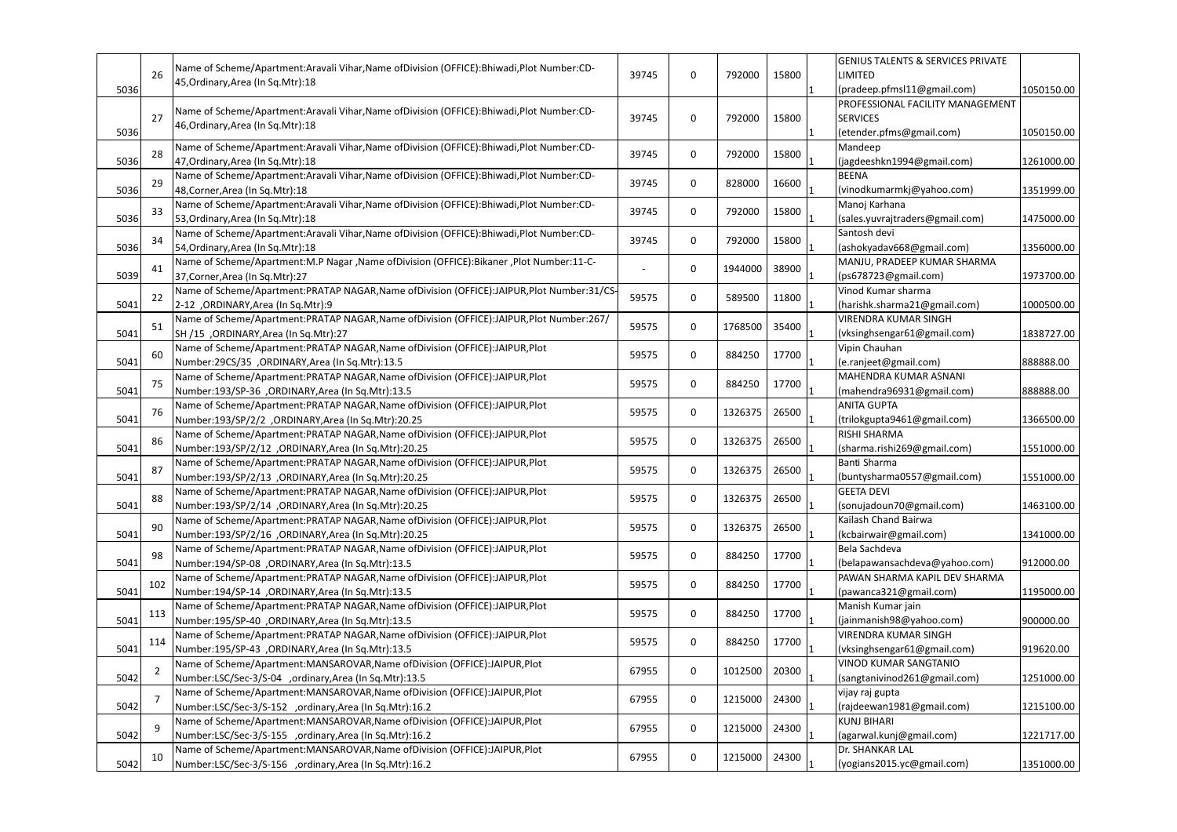|      |     | Name of Scheme/Apartment:Aravali Vihar,Name ofDivision (OFFICE):Bhiwadi,Plot Number:CD-                                              |       |             |         |       |     | <b>GENIUS TALENTS &amp; SERVICES PRIVATE</b>                   |            |
|------|-----|--------------------------------------------------------------------------------------------------------------------------------------|-------|-------------|---------|-------|-----|----------------------------------------------------------------|------------|
|      | 26  | 45, Ordinary, Area (In Sq. Mtr): 18                                                                                                  | 39745 | 0           | 792000  | 15800 |     | LIMITED                                                        |            |
| 5036 |     |                                                                                                                                      |       |             |         |       |     | (pradeep.pfmsl11@gmail.com)                                    | 1050150.00 |
|      | 27  | Name of Scheme/Apartment:Aravali Vihar,Name ofDivision (OFFICE):Bhiwadi,Plot Number:CD-                                              | 39745 | 0           | 792000  | 15800 |     | PROFESSIONAL FACILITY MANAGEMENT<br><b>SERVICES</b>            |            |
| 5036 |     | 46, Ordinary, Area (In Sq. Mtr): 18                                                                                                  |       |             |         |       |     | (etender.pfms@gmail.com)                                       | 1050150.00 |
|      |     | Name of Scheme/Apartment:Aravali Vihar,Name ofDivision (OFFICE):Bhiwadi,Plot Number:CD-                                              |       |             |         |       |     | Mandeep                                                        |            |
| 5036 | 28  | 47, Ordinary, Area (In Sq. Mtr): 18                                                                                                  | 39745 | 0           | 792000  | 15800 |     | (jagdeeshkn1994@gmail.com)                                     | 1261000.00 |
|      |     | Name of Scheme/Apartment:Aravali Vihar,Name ofDivision (OFFICE):Bhiwadi,Plot Number:CD-                                              |       |             |         |       |     | <b>BEENA</b>                                                   |            |
| 5036 | 29  | 48, Corner, Area (In Sq. Mtr): 18                                                                                                    | 39745 | 0           | 828000  | 16600 |     | (vinodkumarmkj@yahoo.com)                                      | 1351999.00 |
|      |     | Name of Scheme/Apartment:Aravali Vihar,Name ofDivision (OFFICE):Bhiwadi,Plot Number:CD-                                              |       |             |         |       |     | Manoj Karhana                                                  |            |
| 5036 | 33  | 53, Ordinary, Area (In Sq. Mtr): 18                                                                                                  | 39745 | 0           | 792000  | 15800 |     | (sales.yuvrajtraders@gmail.com)                                | 1475000.00 |
|      | 34  | Name of Scheme/Apartment:Aravali Vihar,Name ofDivision (OFFICE):Bhiwadi,Plot Number:CD-                                              | 39745 | 0           | 792000  | 15800 |     | Santosh devi                                                   |            |
| 5036 |     | 54, Ordinary, Area (In Sq. Mtr): 18                                                                                                  |       |             |         |       |     | (ashokyadav668@gmail.com)                                      | 1356000.00 |
|      | 41  | Name of Scheme/Apartment:M.P Nagar, Name of Division (OFFICE): Bikaner, Plot Number:11-C-                                            |       | 0           | 1944000 | 38900 |     | MANJU, PRADEEP KUMAR SHARMA                                    |            |
| 5039 |     | 37, Corner, Area (In Sq. Mtr): 27                                                                                                    |       |             |         |       |     | (ps678723@gmail.com)                                           | 1973700.00 |
|      | 22  | Name of Scheme/Apartment:PRATAP NAGAR, Name of Division (OFFICE):JAIPUR, Plot Number:31/CS-                                          | 59575 | 0           | 589500  | 11800 |     | Vinod Kumar sharma                                             |            |
| 5041 |     | 2-12 , ORDINARY, Area (In Sq. Mtr): 9                                                                                                |       |             |         |       |     | (harishk.sharma21@gmail.com)                                   | 1000500.00 |
|      | 51  | Name of Scheme/Apartment:PRATAP NAGAR, Name of Division (OFFICE):JAIPUR, Plot Number:267/                                            | 59575 | 0           | 1768500 | 35400 |     | <b>VIRENDRA KUMAR SINGH</b>                                    |            |
| 5041 |     | SH /15, ORDINARY, Area (In Sq. Mtr):27                                                                                               |       |             |         |       |     | (vksinghsengar61@gmail.com)                                    | 1838727.00 |
| 5041 | 60  | Name of Scheme/Apartment:PRATAP NAGAR, Name of Division (OFFICE):JAIPUR, Plot<br>Number:29CS/35 ,ORDINARY,Area (In Sq.Mtr):13.5      | 59575 | 0           | 884250  | 17700 |     | Vipin Chauhan<br>(e.ranjeet@gmail.com)                         | 888888.00  |
|      |     | Name of Scheme/Apartment:PRATAP NAGAR, Name of Division (OFFICE):JAIPUR, Plot                                                        |       |             |         |       |     | MAHENDRA KUMAR ASNANI                                          |            |
| 5041 | 75  | Number:193/SP-36 ,ORDINARY,Area (In Sq.Mtr):13.5                                                                                     | 59575 | 0           | 884250  | 17700 |     | (mahendra96931@gmail.com)                                      | 888888.00  |
|      |     | Name of Scheme/Apartment:PRATAP NAGAR, Name of Division (OFFICE):JAIPUR, Plot                                                        |       |             |         |       |     | <b>ANITA GUPTA</b>                                             |            |
| 5041 | 76  | Number:193/SP/2/2, ORDINARY, Area (In Sq. Mtr):20.25                                                                                 | 59575 | 0           | 1326375 | 26500 |     | (trilokgupta9461@gmail.com)                                    | 1366500.00 |
|      |     | Name of Scheme/Apartment:PRATAP NAGAR, Name of Division (OFFICE):JAIPUR, Plot                                                        |       |             |         |       |     | RISHI SHARMA                                                   |            |
| 5041 | 86  | Number:193/SP/2/12 ,ORDINARY,Area (In Sq.Mtr):20.25                                                                                  | 59575 | 0           | 1326375 | 26500 |     | (sharma.rishi269@gmail.com)                                    | 1551000.00 |
|      | 87  | Name of Scheme/Apartment:PRATAP NAGAR, Name of Division (OFFICE):JAIPUR, Plot                                                        | 59575 | 0           | 1326375 | 26500 |     | Banti Sharma                                                   |            |
| 5041 |     | Number:193/SP/2/13 ,ORDINARY,Area (In Sq.Mtr):20.25                                                                                  |       |             |         |       |     | (buntysharma0557@gmail.com)                                    | 1551000.00 |
|      | 88  | Name of Scheme/Apartment:PRATAP NAGAR, Name of Division (OFFICE):JAIPUR, Plot                                                        | 59575 | 0           | 1326375 | 26500 |     | <b>GEETA DEVI</b>                                              |            |
| 5041 |     | Number:193/SP/2/14, ORDINARY, Area (In Sq. Mtr):20.25                                                                                |       |             |         |       |     | (sonujadoun70@gmail.com)                                       | 1463100.00 |
|      | 90  | Name of Scheme/Apartment:PRATAP NAGAR, Name of Division (OFFICE):JAIPUR, Plot                                                        | 59575 | 0           | 1326375 | 26500 |     | Kailash Chand Bairwa                                           |            |
| 5041 |     | Number:193/SP/2/16 , ORDINARY, Area (In Sq. Mtr):20.25                                                                               |       |             |         |       |     | (kcbairwair@gmail.com)                                         | 1341000.00 |
|      | 98  | Name of Scheme/Apartment: PRATAP NAGAR, Name of Division (OFFICE): JAIPUR, Plot                                                      | 59575 | 0           | 884250  | 17700 |     | Bela Sachdeva                                                  |            |
| 5041 |     | Number:194/SP-08 , ORDINARY, Area (In Sq. Mtr):13.5<br>Name of Scheme/Apartment:PRATAP NAGAR, Name of Division (OFFICE):JAIPUR, Plot |       |             |         |       |     | (belapawansachdeva@yahoo.com)<br>PAWAN SHARMA KAPIL DEV SHARMA | 912000.00  |
| 5041 | 102 | Number:194/SP-14 , ORDINARY, Area (In Sq. Mtr):13.5                                                                                  | 59575 | 0           | 884250  | 17700 | 11  | (pawanca321@gmail.com)                                         | 1195000.00 |
|      |     | Name of Scheme/Apartment:PRATAP NAGAR, Name of Division (OFFICE):JAIPUR, Plot                                                        |       |             |         |       |     | Manish Kumar jain                                              |            |
| 5041 | 113 | Number:195/SP-40 ,ORDINARY,Area (In Sq.Mtr):13.5                                                                                     | 59575 | 0           | 884250  | 17700 | 11. | (jainmanish98@yahoo.com)                                       | 900000.00  |
|      |     | Name of Scheme/Apartment:PRATAP NAGAR, Name of Division (OFFICE):JAIPUR, Plot                                                        |       |             |         |       |     | <b>VIRENDRA KUMAR SINGH</b>                                    |            |
| 5041 | 114 | Number:195/SP-43 ,ORDINARY,Area (In Sq.Mtr):13.5                                                                                     | 59575 | 0           | 884250  | 17700 |     | (vksinghsengar61@gmail.com)                                    | 919620.00  |
|      |     | Name of Scheme/Apartment:MANSAROVAR, Name of Division (OFFICE): JAIPUR, Plot                                                         |       |             |         |       |     | VINOD KUMAR SANGTANIO                                          |            |
| 5042 | -2  | Number:LSC/Sec-3/S-04 ,ordinary,Area (In Sq.Mtr):13.5                                                                                | 67955 | 0           | 1012500 | 20300 |     | (sangtanivinod261@gmail.com)                                   | 1251000.00 |
|      |     | Name of Scheme/Apartment:MANSAROVAR, Name of Division (OFFICE): JAIPUR, Plot                                                         | 67955 | 0           | 1215000 | 24300 |     | vijay raj gupta                                                |            |
| 5042 |     | Number:LSC/Sec-3/S-152 ,ordinary,Area (In Sq.Mtr):16.2                                                                               |       |             |         |       |     | (rajdeewan1981@gmail.com)                                      | 1215100.00 |
|      |     | Name of Scheme/Apartment:MANSAROVAR, Name of Division (OFFICE): JAIPUR, Plot                                                         | 67955 | $\mathbf 0$ | 1215000 | 24300 |     | <b>KUNJ BIHARI</b>                                             |            |
| 5042 |     | Number:LSC/Sec-3/S-155 ,ordinary,Area (In Sq.Mtr):16.2                                                                               |       |             |         |       |     | (agarwal.kunj@gmail.com)                                       | 1221717.00 |
|      | 10  | Name of Scheme/Apartment:MANSAROVAR, Name of Division (OFFICE):JAIPUR, Plot                                                          | 67955 | 0           | 1215000 | 24300 |     | Dr. SHANKAR LAL                                                |            |
| 5042 |     | Number:LSC/Sec-3/S-156 ,ordinary,Area (In Sq.Mtr):16.2                                                                               |       |             |         |       |     | (yogians2015.yc@gmail.com)                                     | 1351000.00 |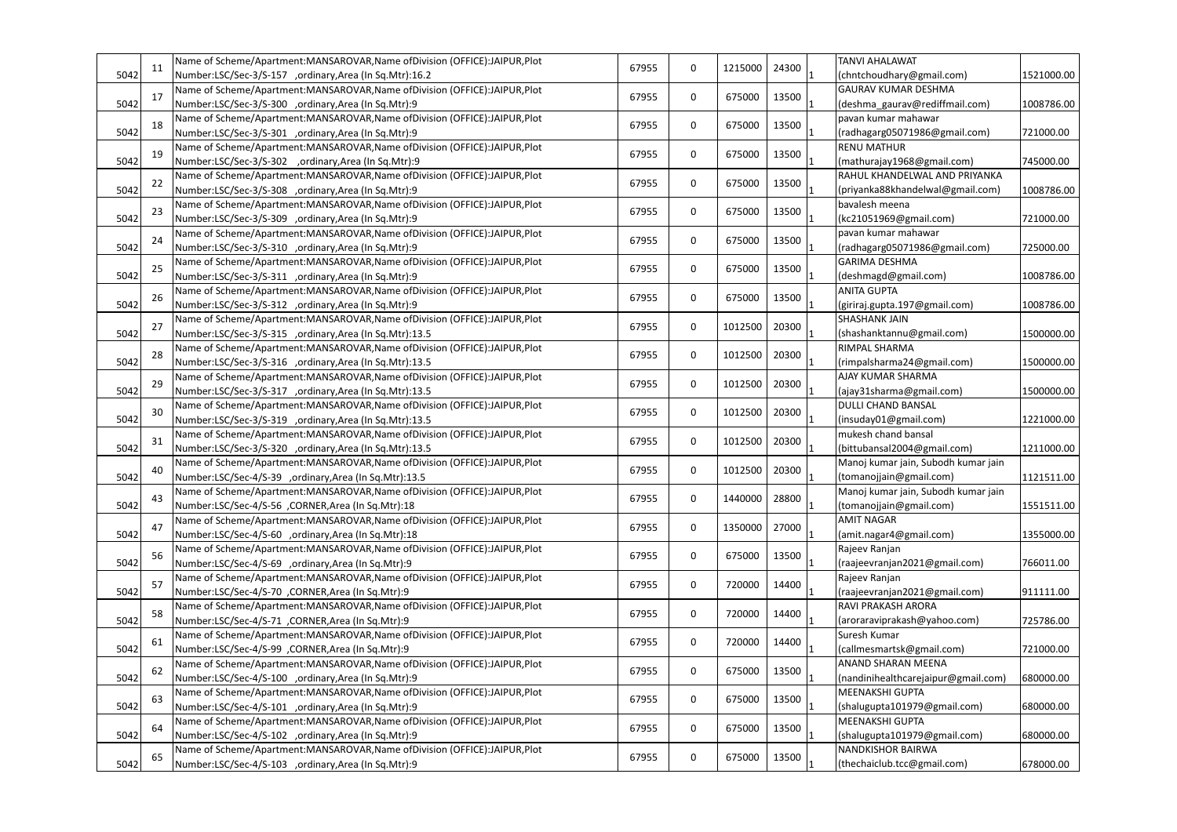|      | 11 | Name of Scheme/Apartment:MANSAROVAR, Name of Division (OFFICE): JAIPUR, Plot | 67955 | 0           | 1215000 | 24300                       | <b>TANVI AHALAWAT</b>               |            |
|------|----|------------------------------------------------------------------------------|-------|-------------|---------|-----------------------------|-------------------------------------|------------|
| 5042 |    | Number:LSC/Sec-3/S-157 ,ordinary,Area (In Sq.Mtr):16.2                       |       |             |         |                             | (chntchoudhary@gmail.com)           | 1521000.00 |
|      | 17 | Name of Scheme/Apartment:MANSAROVAR, Name of Division (OFFICE): JAIPUR, Plot | 67955 | 0           | 675000  | 13500                       | <b>GAURAV KUMAR DESHMA</b>          |            |
| 5042 |    | Number:LSC/Sec-3/S-300 ,ordinary,Area (In Sq.Mtr):9                          |       |             |         |                             | (deshma_gaurav@rediffmail.com)      | 1008786.00 |
|      | 18 | Name of Scheme/Apartment:MANSAROVAR, Name of Division (OFFICE): JAIPUR, Plot | 67955 | 0           | 675000  | 13500                       | pavan kumar mahawar                 |            |
| 5042 |    | Number:LSC/Sec-3/S-301 ,ordinary,Area (In Sq.Mtr):9                          |       |             |         |                             | (radhagarg05071986@gmail.com)       | 721000.00  |
|      | 19 | Name of Scheme/Apartment:MANSAROVAR, Name of Division (OFFICE): JAIPUR, Plot | 67955 | 0           | 675000  | 13500                       | <b>RENU MATHUR</b>                  |            |
| 5042 |    | Number:LSC/Sec-3/S-302 ,ordinary,Area (In Sq.Mtr):9                          |       |             |         |                             | (mathurajay1968@gmail.com)          | 745000.00  |
|      | 22 | Name of Scheme/Apartment:MANSAROVAR, Name of Division (OFFICE): JAIPUR, Plot | 67955 | 0           | 675000  | 13500                       | RAHUL KHANDELWAL AND PRIYANKA       |            |
| 5042 |    | Number:LSC/Sec-3/S-308 ,ordinary,Area (In Sq.Mtr):9                          |       |             |         |                             | (priyanka88khandelwal@gmail.com)    | 1008786.00 |
|      | 23 | Name of Scheme/Apartment:MANSAROVAR, Name of Division (OFFICE):JAIPUR, Plot  | 67955 | 0           | 675000  | 13500                       | bavalesh meena                      |            |
| 5042 |    | Number:LSC/Sec-3/S-309 ,ordinary,Area (In Sq.Mtr):9                          |       |             |         |                             | (kc21051969@gmail.com)              | 721000.00  |
|      | 24 | Name of Scheme/Apartment:MANSAROVAR,Name ofDivision (OFFICE):JAIPUR,Plot     | 67955 | 0           | 675000  | 13500                       | pavan kumar mahawar                 |            |
| 5042 |    | Number:LSC/Sec-3/S-310 ,ordinary,Area (In Sq.Mtr):9                          |       |             |         |                             | (radhagarg05071986@gmail.com)       | 725000.00  |
|      |    | Name of Scheme/Apartment:MANSAROVAR, Name of Division (OFFICE): JAIPUR, Plot |       |             |         |                             | <b>GARIMA DESHMA</b>                |            |
| 5042 | 25 | Number:LSC/Sec-3/S-311 ,ordinary,Area (In Sq.Mtr):9                          | 67955 | 0           | 675000  | 13500                       | (deshmagd@gmail.com)                | 1008786.00 |
|      |    | Name of Scheme/Apartment:MANSAROVAR,Name ofDivision (OFFICE):JAIPUR,Plot     |       |             |         |                             | <b>ANITA GUPTA</b>                  |            |
| 5042 | 26 | Number:LSC/Sec-3/S-312 ,ordinary,Area (In Sq.Mtr):9                          | 67955 | $\mathbf 0$ | 675000  | 13500                       | (giriraj.gupta.197@gmail.com)       | 1008786.00 |
|      |    | Name of Scheme/Apartment:MANSAROVAR, Name of Division (OFFICE):JAIPUR, Plot  |       |             |         |                             | <b>SHASHANK JAIN</b>                |            |
| 5042 | 27 | Number:LSC/Sec-3/S-315 ,ordinary,Area (In Sq.Mtr):13.5                       | 67955 | 0           | 1012500 | 20300                       | (shashanktannu@gmail.com)           | 1500000.00 |
|      |    | Name of Scheme/Apartment:MANSAROVAR, Name of Division (OFFICE):JAIPUR, Plot  |       |             |         |                             | RIMPAL SHARMA                       |            |
| 5042 | 28 | Number:LSC/Sec-3/S-316 ,ordinary,Area (In Sq.Mtr):13.5                       | 67955 | 0           | 1012500 | 20300                       | (rimpalsharma24@gmail.com)          | 1500000.00 |
|      |    | Name of Scheme/Apartment:MANSAROVAR, Name of Division (OFFICE):JAIPUR, Plot  |       |             |         |                             | AJAY KUMAR SHARMA                   |            |
| 5042 | 29 | Number:LSC/Sec-3/S-317 ,ordinary,Area (In Sq.Mtr):13.5                       | 67955 | 0           | 1012500 | 20300                       | (ajay31sharma@gmail.com)            | 1500000.00 |
|      |    | Name of Scheme/Apartment:MANSAROVAR, Name of Division (OFFICE):JAIPUR, Plot  |       |             |         |                             | <b>DULLI CHAND BANSAL</b>           |            |
| 5042 | 30 | Number:LSC/Sec-3/S-319 ,ordinary,Area (In Sq.Mtr):13.5                       | 67955 | 0           | 1012500 | 20300                       | (insuday01@gmail.com)               | 1221000.00 |
|      |    | Name of Scheme/Apartment:MANSAROVAR, Name of Division (OFFICE): JAIPUR, Plot |       |             |         |                             | mukesh chand bansal                 |            |
| 5042 | 31 | 67955<br>Number:LSC/Sec-3/S-320 ,ordinary,Area (In Sq.Mtr):13.5              | 0     | 1012500     | 20300   | (bittubansal2004@gmail.com) | 1211000.00                          |            |
|      |    | Name of Scheme/Apartment:MANSAROVAR,Name ofDivision (OFFICE):JAIPUR,Plot     |       |             |         |                             | Manoj kumar jain, Subodh kumar jain |            |
| 5042 | 40 | Number:LSC/Sec-4/S-39 ,ordinary,Area (In Sq.Mtr):13.5                        | 67955 | 0           | 1012500 | 20300                       | (tomanojjain@gmail.com)             | 1121511.00 |
|      |    | Name of Scheme/Apartment:MANSAROVAR, Name of Division (OFFICE): JAIPUR, Plot |       |             |         |                             | Manoj kumar jain, Subodh kumar jain |            |
| 5042 | 43 | Number:LSC/Sec-4/S-56 ,CORNER,Area (In Sq.Mtr):18                            | 67955 | $\mathbf 0$ | 1440000 | 28800                       | (tomanojjain@gmail.com)             | 1551511.00 |
|      |    | Name of Scheme/Apartment:MANSAROVAR, Name of Division (OFFICE): JAIPUR, Plot |       |             |         |                             | <b>AMIT NAGAR</b>                   |            |
| 5042 | 47 | Number:LSC/Sec-4/S-60 ,ordinary,Area (In Sq.Mtr):18                          | 67955 | $\mathbf 0$ | 1350000 | 27000                       | (amit.nagar4@gmail.com)             | 1355000.00 |
|      |    | Name of Scheme/Apartment:MANSAROVAR,Name ofDivision (OFFICE):JAIPUR,Plot     |       |             |         |                             | Rajeev Ranjan                       |            |
| 5042 | 56 |                                                                              | 67955 | 0           | 675000  | 13500                       |                                     | 766011.00  |
|      |    | Number:LSC/Sec-4/S-69 ,ordinary,Area (In Sq.Mtr):9                           |       |             |         |                             | (raajeevranjan2021@gmail.com)       |            |
|      | 57 | Name of Scheme/Apartment:MANSAROVAR,Name ofDivision (OFFICE):JAIPUR,Plot     | 67955 | 0           | 720000  | 14400                       | Rajeev Ranjan                       |            |
| 5042 |    | Number:LSC/Sec-4/S-70, CORNER, Area (In Sq. Mtr):9                           |       |             |         |                             | (raajeevranjan2021@gmail.com)       | 911111.00  |
|      | 58 | Name of Scheme/Apartment:MANSAROVAR, Name of Division (OFFICE): JAIPUR, Plot | 67955 | 0           | 720000  | 14400                       | RAVI PRAKASH ARORA                  |            |
| 5042 |    | Number:LSC/Sec-4/S-71 ,CORNER,Area (In Sq.Mtr):9                             |       |             |         |                             | (aroraraviprakash@yahoo.com)        | 725786.00  |
|      | 61 | Name of Scheme/Apartment:MANSAROVAR, Name of Division (OFFICE): JAIPUR, Plot | 67955 | 0           | 720000  | 14400                       | Suresh Kumar                        |            |
| 5042 |    | Number:LSC/Sec-4/S-99 ,CORNER,Area (In Sq.Mtr):9                             |       |             |         |                             | (callmesmartsk@gmail.com)           | 721000.00  |
|      | 62 | Name of Scheme/Apartment:MANSAROVAR, Name of Division (OFFICE): JAIPUR, Plot | 67955 | 0           | 675000  | 13500                       | ANAND SHARAN MEENA                  |            |
| 5042 |    | Number:LSC/Sec-4/S-100 ,ordinary,Area (In Sq.Mtr):9                          |       |             |         |                             | (nandinihealthcarejaipur@gmail.com) | 680000.00  |
|      | 63 | Name of Scheme/Apartment:MANSAROVAR, Name of Division (OFFICE): JAIPUR, Plot | 67955 | 0           | 675000  | 13500                       | MEENAKSHI GUPTA                     |            |
| 5042 |    | Number:LSC/Sec-4/S-101 ,ordinary,Area (In Sq.Mtr):9                          |       |             |         |                             | (shalugupta101979@gmail.com)        | 680000.00  |
|      | 64 | Name of Scheme/Apartment:MANSAROVAR, Name of Division (OFFICE): JAIPUR, Plot | 67955 | 0           | 675000  | 13500                       | MEENAKSHI GUPTA                     |            |
| 5042 |    | Number:LSC/Sec-4/S-102 ,ordinary,Area (In Sq.Mtr):9                          |       |             |         |                             | (shalugupta101979@gmail.com)        | 680000.00  |
|      | 65 | Name of Scheme/Apartment:MANSAROVAR, Name of Division (OFFICE): JAIPUR, Plot | 67955 | 0           | 675000  | 13500                       | NANDKISHOR BAIRWA                   |            |
| 5042 |    | Number:LSC/Sec-4/S-103 ,ordinary,Area (In Sq.Mtr):9                          |       |             |         |                             | (thechaiclub.tcc@gmail.com)         | 678000.00  |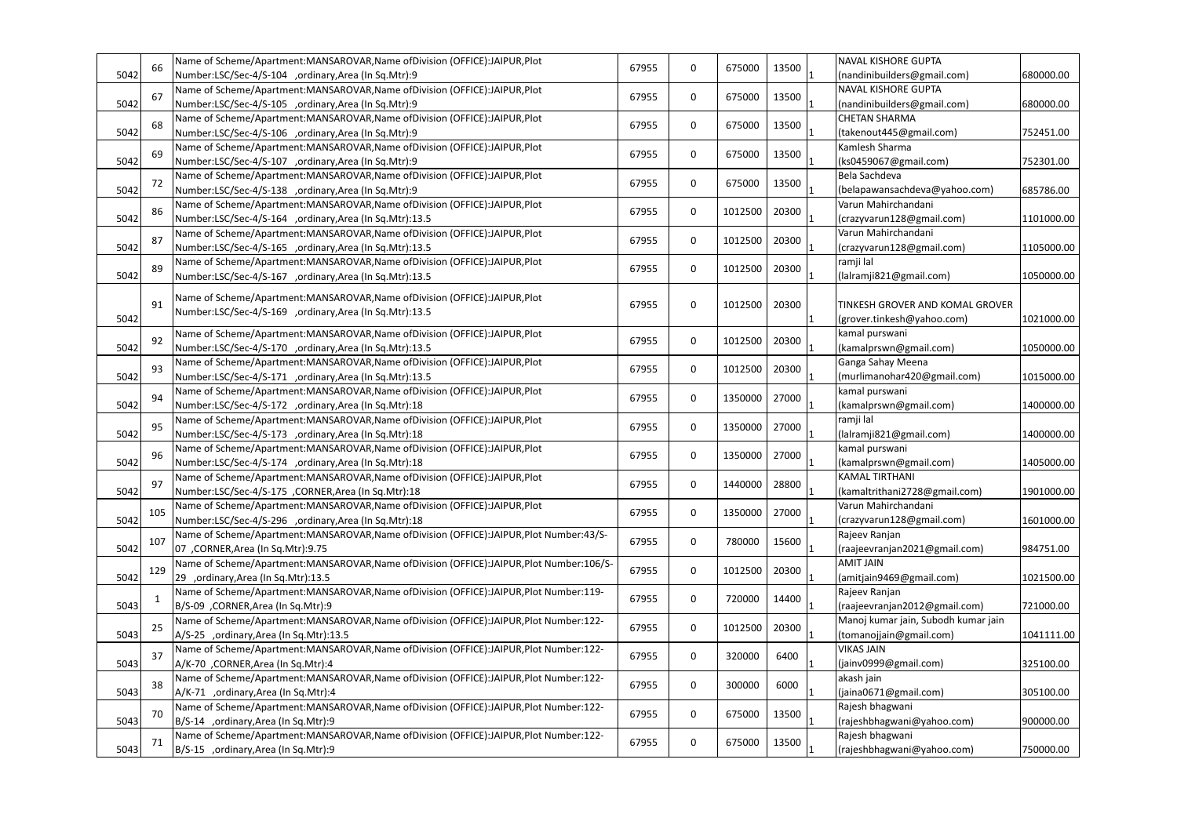|      | 66  | Name of Scheme/Apartment:MANSAROVAR,Name ofDivision (OFFICE):JAIPUR,Plot                 | 67955 | 0 | 675000  | 13500 | <b>NAVAL KISHORE GUPTA</b>          |            |
|------|-----|------------------------------------------------------------------------------------------|-------|---|---------|-------|-------------------------------------|------------|
| 5042 |     | Number:LSC/Sec-4/S-104 ,ordinary,Area (In Sq.Mtr):9                                      |       |   |         |       | (nandinibuilders@gmail.com)         | 680000.00  |
|      | 67  | Name of Scheme/Apartment:MANSAROVAR, Name of Division (OFFICE): JAIPUR, Plot             | 67955 | 0 | 675000  | 13500 | <b>NAVAL KISHORE GUPTA</b>          |            |
| 5042 |     | Number:LSC/Sec-4/S-105 ,ordinary,Area (In Sq.Mtr):9                                      |       |   |         |       | (nandinibuilders@gmail.com)         | 680000.00  |
|      |     | Name of Scheme/Apartment:MANSAROVAR, Name of Division (OFFICE):JAIPUR, Plot              | 67955 |   |         |       | <b>CHETAN SHARMA</b>                |            |
| 5042 | 68  | Number:LSC/Sec-4/S-106 ,ordinary,Area (In Sq.Mtr):9                                      |       | 0 | 675000  | 13500 | (takenout445@gmail.com)             | 752451.00  |
|      |     | Name of Scheme/Apartment:MANSAROVAR, Name of Division (OFFICE): JAIPUR, Plot             |       |   |         |       | Kamlesh Sharma                      |            |
| 5042 | 69  | Number:LSC/Sec-4/S-107 ,ordinary,Area (In Sq.Mtr):9                                      | 67955 | 0 | 675000  | 13500 | (ks0459067@gmail.com)               | 752301.00  |
|      |     | Name of Scheme/Apartment:MANSAROVAR, Name of Division (OFFICE):JAIPUR, Plot              |       |   |         |       | Bela Sachdeva                       |            |
| 5042 | 72  | Number:LSC/Sec-4/S-138 ,ordinary,Area (In Sq.Mtr):9                                      | 67955 | 0 | 675000  | 13500 | (belapawansachdeva@yahoo.com)       | 685786.00  |
|      |     | Name of Scheme/Apartment:MANSAROVAR, Name of Division (OFFICE): JAIPUR, Plot             |       |   |         |       | Varun Mahirchandani                 |            |
| 5042 | 86  | Number:LSC/Sec-4/S-164 ,ordinary,Area (In Sq.Mtr):13.5                                   | 67955 | 0 | 1012500 | 20300 | (crazyvarun128@gmail.com)           | 1101000.00 |
|      |     | Name of Scheme/Apartment:MANSAROVAR, Name of Division (OFFICE):JAIPUR, Plot              |       |   |         |       | Varun Mahirchandani                 |            |
| 5042 | 87  |                                                                                          | 67955 | 0 | 1012500 | 20300 |                                     | 1105000.00 |
|      |     | Number:LSC/Sec-4/S-165 ,ordinary,Area (In Sq.Mtr):13.5                                   |       |   |         |       | (crazyvarun128@gmail.com)           |            |
|      | 89  | Name of Scheme/Apartment:MANSAROVAR, Name of Division (OFFICE): JAIPUR, Plot             | 67955 | 0 | 1012500 | 20300 | ramji lal                           |            |
| 5042 |     | Number:LSC/Sec-4/S-167 ,ordinary,Area (In Sq.Mtr):13.5                                   |       |   |         |       | (lalramji821@gmail.com)             | 1050000.00 |
|      |     | Name of Scheme/Apartment:MANSAROVAR, Name of Division (OFFICE): JAIPUR, Plot             |       |   |         |       |                                     |            |
|      | 91  | Number:LSC/Sec-4/S-169 ,ordinary,Area (In Sq.Mtr):13.5                                   | 67955 | 0 | 1012500 | 20300 | TINKESH GROVER AND KOMAL GROVER     |            |
| 5042 |     |                                                                                          |       |   |         |       | (grover.tinkesh@yahoo.com)          | 1021000.00 |
|      | 92  | Name of Scheme/Apartment:MANSAROVAR,Name ofDivision (OFFICE):JAIPUR,Plot                 | 67955 | 0 | 1012500 | 20300 | kamal purswani                      |            |
| 5042 |     | Number:LSC/Sec-4/S-170 ,ordinary,Area (In Sq.Mtr):13.5                                   |       |   |         |       | (kamalprswn@gmail.com)              | 1050000.00 |
|      | 93  | Name of Scheme/Apartment:MANSAROVAR, Name of Division (OFFICE): JAIPUR, Plot             | 67955 | 0 | 1012500 | 20300 | Ganga Sahay Meena                   |            |
| 5042 |     | Number:LSC/Sec-4/S-171 ,ordinary,Area (In Sq.Mtr):13.5                                   |       |   |         |       | (murlimanohar420@gmail.com)         | 1015000.00 |
|      |     | Name of Scheme/Apartment:MANSAROVAR, Name of Division (OFFICE):JAIPUR, Plot              |       |   |         |       | kamal purswani                      |            |
| 5042 | 94  | Number:LSC/Sec-4/S-172 ,ordinary,Area (In Sq.Mtr):18                                     | 67955 | 0 | 1350000 | 27000 | (kamalprswn@gmail.com)              | 1400000.00 |
|      |     | Name of Scheme/Apartment:MANSAROVAR, Name of Division (OFFICE): JAIPUR, Plot             |       |   |         |       | ramji lal                           |            |
| 5042 | 95  | Number:LSC/Sec-4/S-173 ,ordinary,Area (In Sq.Mtr):18                                     | 67955 | 0 | 1350000 | 27000 | (lalramji821@gmail.com)             | 1400000.00 |
|      |     | Name of Scheme/Apartment:MANSAROVAR, Name of Division (OFFICE):JAIPUR, Plot              |       |   |         |       | kamal purswani                      |            |
| 5042 | 96  | Number:LSC/Sec-4/S-174 ,ordinary,Area (In Sq.Mtr):18                                     | 67955 | 0 | 1350000 | 27000 | (kamalprswn@gmail.com)              | 1405000.00 |
|      |     | Name of Scheme/Apartment:MANSAROVAR,Name ofDivision (OFFICE):JAIPUR,Plot                 |       |   |         |       | <b>KAMAL TIRTHANI</b>               |            |
| 5042 | 97  | Number:LSC/Sec-4/S-175 ,CORNER,Area (In Sq.Mtr):18                                       | 67955 | 0 | 1440000 | 28800 | (kamaltrithani2728@gmail.com)       | 1901000.00 |
|      |     | Name of Scheme/Apartment:MANSAROVAR,Name ofDivision (OFFICE):JAIPUR,Plot                 |       |   |         |       | Varun Mahirchandani                 |            |
| 5042 | 105 | Number:LSC/Sec-4/S-296 ,ordinary,Area (In Sq.Mtr):18                                     | 67955 | 0 | 1350000 | 27000 | (crazyvarun128@gmail.com)           | 1601000.00 |
|      |     | Name of Scheme/Apartment:MANSAROVAR,Name ofDivision (OFFICE):JAIPUR,Plot Number:43/S-    |       |   |         |       | Rajeev Ranjan                       |            |
| 5042 | 107 | 07 ,CORNER,Area (In Sq.Mtr):9.75                                                         | 67955 | 0 | 780000  | 15600 |                                     | 984751.00  |
|      |     |                                                                                          |       |   |         |       | (raajeevranjan2021@gmail.com)       |            |
|      | 129 | Name of Scheme/Apartment:MANSAROVAR,Name ofDivision (OFFICE):JAIPUR,Plot Number:106/S-   | 67955 | 0 | 1012500 | 20300 | <b>AMIT JAIN</b>                    |            |
| 5042 |     | 29 ,ordinary, Area (In Sq. Mtr): 13.5                                                    |       |   |         |       | (amitjain9469@gmail.com)            | 1021500.00 |
|      | -1  | Name of Scheme/Apartment:MANSAROVAR,Name ofDivision (OFFICE):JAIPUR,Plot Number:119-     | 67955 | 0 | 720000  | 14400 | Rajeev Ranjan                       |            |
| 5043 |     | B/S-09 , CORNER, Area (In Sq. Mtr): 9                                                    |       |   |         |       | (raajeevranjan2012@gmail.com)       | 721000.00  |
|      | 25  | Name of Scheme/Apartment:MANSAROVAR,Name ofDivision (OFFICE):JAIPUR,Plot Number:122-     | 67955 | 0 | 1012500 | 20300 | Manoj kumar jain, Subodh kumar jain |            |
| 5043 |     | A/S-25 ,ordinary, Area (In Sq. Mtr): 13.5                                                |       |   |         |       | (tomanojjain@gmail.com)             | 1041111.00 |
|      | 37  | Name of Scheme/Apartment:MANSAROVAR,Name ofDivision (OFFICE):JAIPUR,Plot Number:122-     | 67955 | 0 | 320000  | 6400  | <b>VIKAS JAIN</b>                   |            |
| 5043 |     | A/K-70, CORNER, Area (In Sq. Mtr): 4                                                     |       |   |         |       | (jainv0999@gmail.com)               | 325100.00  |
|      |     | Name of Scheme/Apartment:MANSAROVAR,Name ofDivision (OFFICE):JAIPUR,Plot Number:122-     |       |   |         |       | akash jain                          |            |
| 5043 | 38  | A/K-71 ,ordinary,Area (In Sq.Mtr):4                                                      | 67955 | 0 | 300000  | 6000  | (jaina0671@gmail.com)               | 305100.00  |
|      |     | Name of Scheme/Apartment:MANSAROVAR, Name of Division (OFFICE): JAIPUR, Plot Number:122- |       |   |         |       | Rajesh bhagwani                     |            |
| 5043 | 70  | B/S-14 ,ordinary,Area (In Sq.Mtr):9                                                      | 67955 | 0 | 675000  | 13500 | (rajeshbhagwani@yahoo.com)          | 900000.00  |
|      |     | Name of Scheme/Apartment:MANSAROVAR,Name ofDivision (OFFICE):JAIPUR,Plot Number:122-     |       |   |         |       | Rajesh bhagwani                     |            |
| 5043 | 71  | B/S-15 ,ordinary, Area (In Sq. Mtr):9                                                    | 67955 | 0 | 675000  | 13500 | (rajeshbhagwani@yahoo.com)          | 750000.00  |
|      |     |                                                                                          |       |   |         |       |                                     |            |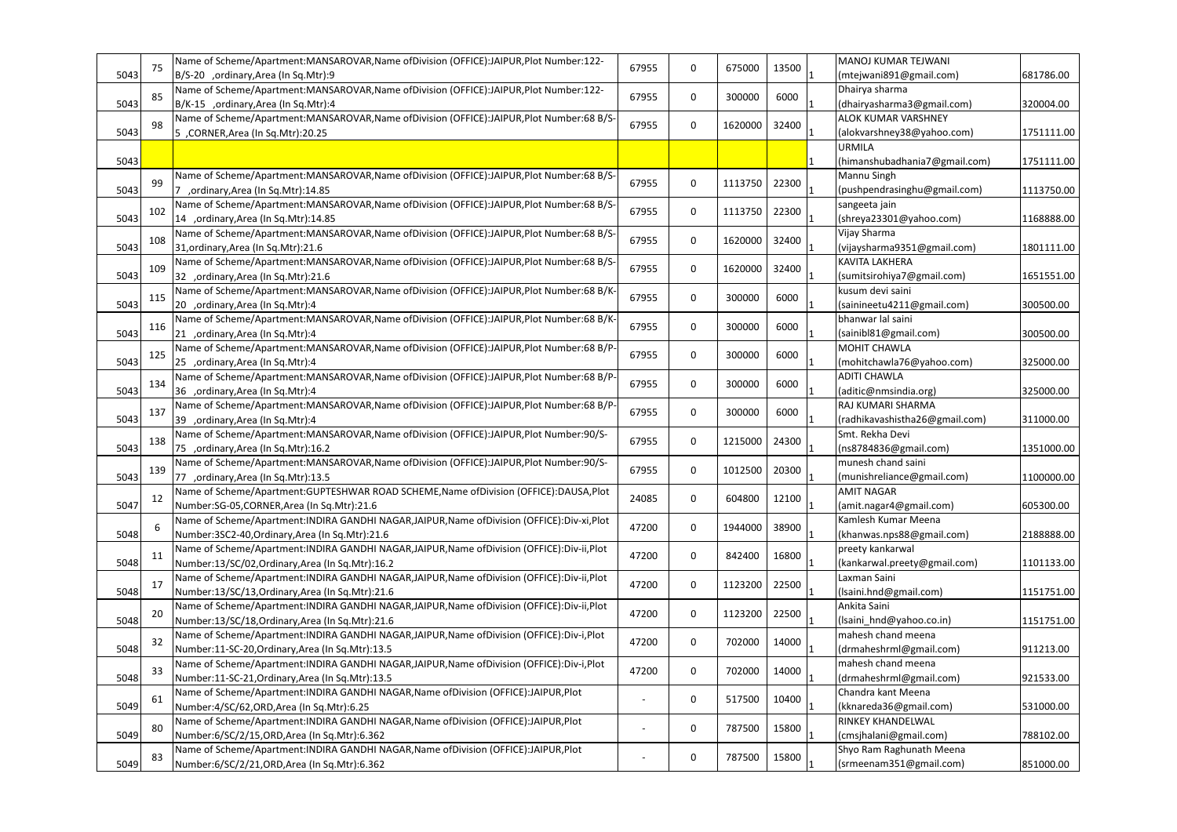| 5043 | 75  | Name of Scheme/Apartment:MANSAROVAR,Name ofDivision (OFFICE):JAIPUR,Plot Number:122-<br>B/S-20 ,ordinary, Area (In Sq. Mtr):9                | 67955 | $\mathbf 0$ | 675000  | 13500 | MANOJ KUMAR TEJWANI<br>(mtejwani891@gmail.com) | 681786.00  |
|------|-----|----------------------------------------------------------------------------------------------------------------------------------------------|-------|-------------|---------|-------|------------------------------------------------|------------|
|      |     | Name of Scheme/Apartment:MANSAROVAR,Name ofDivision (OFFICE):JAIPUR,Plot Number:122-                                                         |       |             |         |       | Dhairya sharma                                 |            |
| 5043 | 85  | B/K-15 ,ordinary, Area (In Sq. Mtr): 4                                                                                                       | 67955 | $\mathbf 0$ | 300000  | 6000  | (dhairyasharma3@gmail.com)                     | 320004.00  |
|      |     | Name of Scheme/Apartment:MANSAROVAR,Name ofDivision (OFFICE):JAIPUR,Plot Number:68 B/S-                                                      |       |             |         |       | <b>ALOK KUMAR VARSHNEY</b>                     |            |
| 5043 |     | S.CORNER, Area (In Sq.Mtr): 20.25                                                                                                            | 67955 | 0           | 1620000 | 32400 | (alokvarshney38@yahoo.com)                     | 1751111.00 |
|      |     |                                                                                                                                              |       |             |         |       | <b>URMILA</b>                                  |            |
| 5043 |     |                                                                                                                                              |       |             |         |       | (himanshubadhania7@gmail.com)                  | 1751111.00 |
|      | 99  | Name of Scheme/Apartment:MANSAROVAR,Name ofDivision (OFFICE):JAIPUR,Plot Number:68 B/S-                                                      | 67955 | 0           | 1113750 | 22300 | Mannu Singh                                    |            |
| 5043 |     | ,ordinary,Area (In Sq.Mtr):14.85                                                                                                             |       |             |         |       | (pushpendrasinghu@gmail.com)                   | 1113750.00 |
|      | 102 | Name of Scheme/Apartment:MANSAROVAR,Name ofDivision (OFFICE):JAIPUR,Plot Number:68 B/S-                                                      | 67955 | 0           | 1113750 | 22300 | sangeeta jain                                  |            |
| 5043 |     | 14.85 ordinary, Area (In Sq. Mtr): 14.85                                                                                                     |       |             |         |       | (shreya23301@yahoo.com)                        | 1168888.00 |
|      | 108 | Name of Scheme/Apartment:MANSAROVAR,Name ofDivision (OFFICE):JAIPUR,Plot Number:68 B/S-                                                      | 67955 | 0           | 1620000 | 32400 | Vijay Sharma                                   |            |
| 5043 |     | 31, ordinary, Area (In Sq. Mtr): 21.6                                                                                                        |       |             |         |       | (vijaysharma9351@gmail.com)<br>KAVITA LAKHERA  | 1801111.00 |
|      | 109 | Name of Scheme/Apartment:MANSAROVAR,Name ofDivision (OFFICE):JAIPUR,Plot Number:68 B/S-                                                      | 67955 | 0           | 1620000 | 32400 |                                                |            |
| 5043 |     | 32 ,ordinary, Area (In Sq. Mtr): 21.6<br>Name of Scheme/Apartment:MANSAROVAR,Name ofDivision (OFFICE):JAIPUR,Plot Number:68 B/K-             |       |             |         |       | (sumitsirohiya7@gmail.com)<br>kusum devi saini | 1651551.00 |
| 5043 | 115 | 20 ,ordinary, Area (In Sq. Mtr): 4                                                                                                           | 67955 | $\mathbf 0$ | 300000  | 6000  | (sainineetu4211@gmail.com)                     | 300500.00  |
|      |     | Name of Scheme/Apartment:MANSAROVAR,Name ofDivision (OFFICE):JAIPUR,Plot Number:68 B/K-                                                      |       |             |         |       | bhanwar lal saini                              |            |
| 5043 | 116 | 21 ,ordinary,Area (In Sq.Mtr):4                                                                                                              | 67955 | 0           | 300000  | 6000  | (sainibl81@gmail.com)                          | 300500.00  |
|      |     | Name of Scheme/Apartment:MANSAROVAR,Name ofDivision (OFFICE):JAIPUR,Plot Number:68 B/P-                                                      |       |             |         |       | <b>MOHIT CHAWLA</b>                            |            |
| 5043 | 125 | 25 ,ordinary,Area (In Sq.Mtr):4                                                                                                              | 67955 | 0           | 300000  | 6000  | (mohitchawla76@yahoo.com)                      | 325000.00  |
|      |     | Name of Scheme/Apartment:MANSAROVAR,Name ofDivision (OFFICE):JAIPUR,Plot Number:68 B/P-                                                      |       |             |         |       | <b>ADITI CHAWLA</b>                            |            |
| 5043 | 134 | 36 ,ordinary, Area (In Sq. Mtr): 4                                                                                                           | 67955 | 0           | 300000  | 6000  | (aditic@nmsindia.org)                          | 325000.00  |
|      |     | Name of Scheme/Apartment:MANSAROVAR,Name ofDivision (OFFICE):JAIPUR,Plot Number:68 B/P-                                                      |       |             |         |       | RAJ KUMARI SHARMA                              |            |
| 5043 | 137 | 39 ,ordinary,Area (In Sq.Mtr):4                                                                                                              | 67955 | 0           | 300000  | 6000  | (radhikavashistha26@gmail.com)                 | 311000.00  |
|      | 138 | Name of Scheme/Apartment:MANSAROVAR,Name ofDivision (OFFICE):JAIPUR,Plot Number:90/S-                                                        | 67955 | 0           | 1215000 | 24300 | Smt. Rekha Devi                                |            |
| 5043 |     | 75 ordinary, Area (In Sq. Mtr): 16.2                                                                                                         |       |             |         |       | (ns8784836@gmail.com)                          | 1351000.00 |
|      | 139 | Name of Scheme/Apartment:MANSAROVAR,Name ofDivision (OFFICE):JAIPUR,Plot Number:90/S-                                                        | 67955 | $\mathbf 0$ | 1012500 | 20300 | munesh chand saini                             |            |
| 5043 |     | ordinary, Area (In Sq. Mtr): 13.5                                                                                                            |       |             |         |       | (munishreliance@gmail.com)                     | 1100000.00 |
|      | 12  | Name of Scheme/Apartment:GUPTESHWAR ROAD SCHEME, Name of Division (OFFICE):DAUSA, Plot                                                       | 24085 | 0           | 604800  | 12100 | AMIT NAGAR                                     |            |
| 5047 |     | Number:SG-05,CORNER,Area (In Sq.Mtr):21.6                                                                                                    |       |             |         |       | (amit.nagar4@gmail.com)                        | 605300.00  |
|      |     | Name of Scheme/Apartment:INDIRA GANDHI NAGAR, JAIPUR, Name of Division (OFFICE): Div-xi, Plot                                                | 47200 | 0           | 1944000 | 38900 | Kamlesh Kumar Meena                            |            |
| 5048 |     | Number:3SC2-40, Ordinary, Area (In Sq. Mtr):21.6<br>Name of Scheme/Apartment:INDIRA GANDHI NAGAR,JAIPUR,Name ofDivision (OFFICE):Div-ii,Plot |       |             |         |       | (khanwas.nps88@gmail.com)<br>preety kankarwal  | 2188888.00 |
| 5048 | 11  | Number:13/SC/02, Ordinary, Area (In Sq. Mtr): 16.2                                                                                           | 47200 | 0           | 842400  | 16800 | (kankarwal.preety@gmail.com)                   | 1101133.00 |
|      |     | Name of Scheme/Apartment: INDIRA GANDHI NAGAR, JAIPUR, Name of Division (OFFICE): Div-ii, Plot                                               |       |             |         |       | Laxman Saini                                   |            |
| 5048 | 17  | Number:13/SC/13, Ordinary, Area (In Sq. Mtr): 21.6                                                                                           | 47200 | 0           | 1123200 | 22500 | (Isaini.hnd@gmail.com)                         | 1151751.00 |
|      |     | Name of Scheme/Apartment: INDIRA GANDHI NAGAR, JAIPUR, Name of Division (OFFICE): Div-ii, Plot                                               |       |             |         |       | Ankita Saini                                   |            |
| 5048 | 20  | Number:13/SC/18, Ordinary, Area (In Sq. Mtr): 21.6                                                                                           | 47200 | 0           | 1123200 | 22500 | (Isaini_hnd@yahoo.co.in)                       | 1151751.00 |
|      |     | Name of Scheme/Apartment:INDIRA GANDHI NAGAR,JAIPUR,Name ofDivision (OFFICE):Div-i,Plot                                                      |       |             |         |       | mahesh chand meena                             |            |
| 5048 | 32  | Number:11-SC-20, Ordinary, Area (In Sq. Mtr):13.5                                                                                            | 47200 | 0           | 702000  | 14000 | (drmaheshrml@gmail.com)                        | 911213.00  |
|      | 33  | Name of Scheme/Apartment: INDIRA GANDHI NAGAR, JAIPUR, Name of Division (OFFICE): Div-i, Plot                                                | 47200 | 0           | 702000  |       | mahesh chand meena                             |            |
| 5048 |     | Number:11-SC-21, Ordinary, Area (In Sq. Mtr):13.5                                                                                            |       |             |         | 14000 | (drmaheshrml@gmail.com)                        | 921533.00  |
|      | 61  | Name of Scheme/Apartment: INDIRA GANDHI NAGAR, Name of Division (OFFICE): JAIPUR, Plot                                                       |       | 0           | 517500  | 10400 | Chandra kant Meena                             |            |
| 5049 |     | Number:4/SC/62,ORD,Area (In Sq.Mtr):6.25                                                                                                     |       |             |         |       | (kknareda36@gmail.com)                         | 531000.00  |
|      | 80  | Name of Scheme/Apartment: INDIRA GANDHI NAGAR, Name of Division (OFFICE): JAIPUR, Plot                                                       |       | 0           | 787500  | 15800 | RINKEY KHANDELWAL                              |            |
| 5049 |     | Number:6/SC/2/15,ORD,Area (In Sq.Mtr):6.362                                                                                                  |       |             |         |       | (cmsjhalani@gmail.com)                         | 788102.00  |
|      | 83  | Name of Scheme/Apartment:INDIRA GANDHI NAGAR, Name of Division (OFFICE):JAIPUR, Plot                                                         |       | 0           | 787500  | 15800 | Shyo Ram Raghunath Meena                       |            |
| 5049 |     | Number:6/SC/2/21,ORD,Area (In Sq.Mtr):6.362                                                                                                  |       |             |         |       | (srmeenam351@gmail.com)                        | 851000.00  |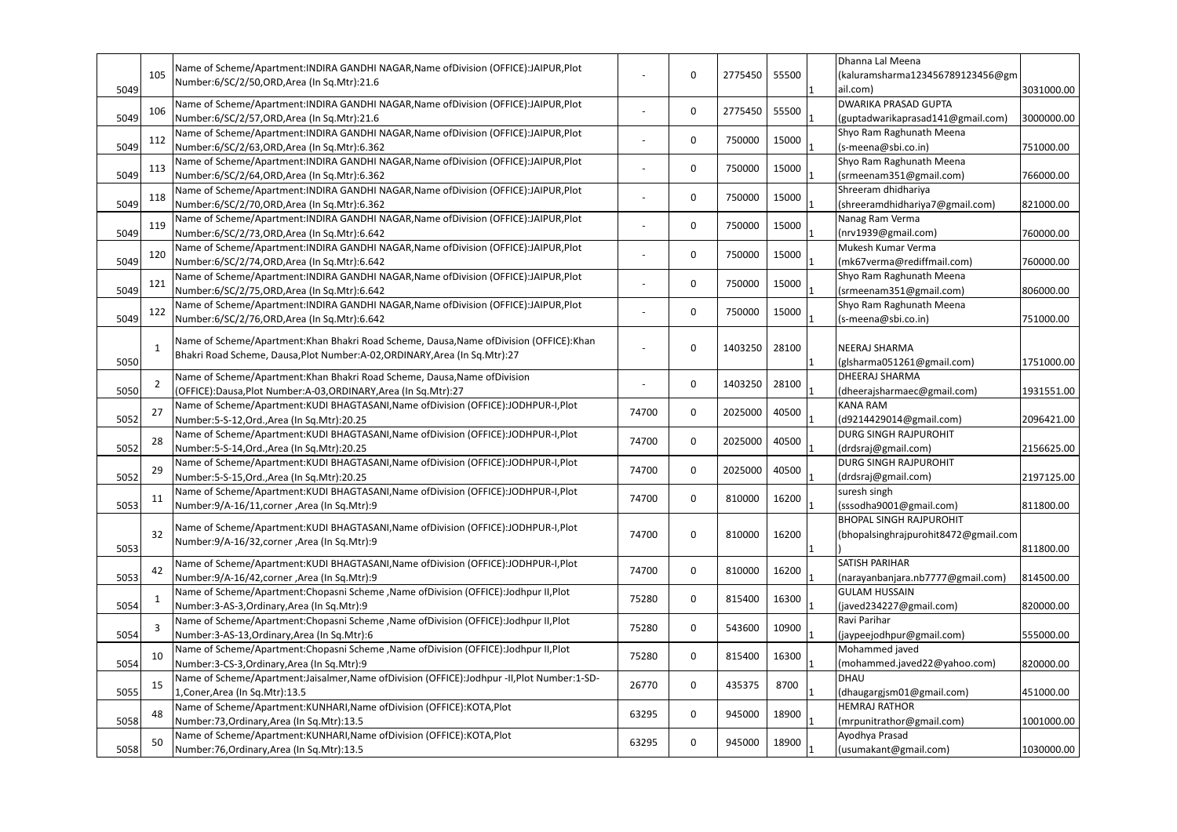|      |               |                                                                                              |       |             |         |       | Dhanna Lal Meena                                |                                        |
|------|---------------|----------------------------------------------------------------------------------------------|-------|-------------|---------|-------|-------------------------------------------------|----------------------------------------|
|      | 105           | Name of Scheme/Apartment: INDIRA GANDHI NAGAR, Name of Division (OFFICE): JAIPUR, Plot       |       |             |         |       |                                                 |                                        |
|      |               | Number:6/SC/2/50,ORD,Area (In Sq.Mtr):21.6                                                   |       | 0           | 2775450 | 55500 | (kaluramsharma123456789123456@gm                |                                        |
| 5049 |               |                                                                                              |       |             |         |       | 3031000.00<br>ail.com)                          |                                        |
|      |               | Name of Scheme/Apartment:INDIRA GANDHI NAGAR,Name ofDivision (OFFICE):JAIPUR,Plot            |       |             |         |       | <b>DWARIKA PRASAD GUPTA</b>                     |                                        |
| 5049 | 106           | Number:6/SC/2/57,ORD,Area (In Sq.Mtr):21.6                                                   |       | 0           | 2775450 | 55500 | 3000000.00<br>(guptadwarikaprasad141@gmail.com) |                                        |
|      |               | Name of Scheme/Apartment: INDIRA GANDHI NAGAR, Name of Division (OFFICE): JAIPUR, Plot       |       |             |         |       | Shyo Ram Raghunath Meena                        |                                        |
| 5049 | 112           | Number:6/SC/2/63,ORD,Area (In Sq.Mtr):6.362                                                  |       | 0           | 750000  | 15000 | (s-meena@sbi.co.in)<br>751000.00                |                                        |
|      |               | Name of Scheme/Apartment: INDIRA GANDHI NAGAR, Name of Division (OFFICE): JAIPUR, Plot       |       |             |         |       | Shyo Ram Raghunath Meena                        |                                        |
|      | 113           |                                                                                              |       | 0           | 750000  | 15000 |                                                 |                                        |
| 5049 |               | Number:6/SC/2/64, ORD, Area (In Sq. Mtr):6.362                                               |       |             |         |       | (srmeenam351@gmail.com)<br>766000.00            |                                        |
|      | 118           | Name of Scheme/Apartment: INDIRA GANDHI NAGAR, Name of Division (OFFICE): JAIPUR, Plot       |       | 0           | 750000  | 15000 | Shreeram dhidhariya                             |                                        |
| 5049 |               | Number:6/SC/2/70, ORD, Area (In Sq. Mtr):6.362                                               |       |             |         |       | (shreeramdhidhariya7@gmail.com)<br>821000.00    |                                        |
|      | 119           | Name of Scheme/Apartment: INDIRA GANDHI NAGAR, Name of Division (OFFICE): JAIPUR, Plot       |       | $\mathbf 0$ | 750000  | 15000 | Nanag Ram Verma                                 |                                        |
| 5049 |               | Number:6/SC/2/73, ORD, Area (In Sq. Mtr):6.642                                               |       |             |         |       | (nrv1939@gmail.com)<br>760000.00                |                                        |
|      |               | Name of Scheme/Apartment: INDIRA GANDHI NAGAR, Name of Division (OFFICE): JAIPUR, Plot       |       |             |         |       | Mukesh Kumar Verma                              |                                        |
| 5049 | 120           | Number:6/SC/2/74,ORD,Area (In Sq.Mtr):6.642                                                  |       | 0           | 750000  | 15000 | (mk67verma@rediffmail.com)<br>760000.00         |                                        |
|      |               | Name of Scheme/Apartment: INDIRA GANDHI NAGAR, Name of Division (OFFICE): JAIPUR, Plot       |       |             |         |       | Shyo Ram Raghunath Meena                        |                                        |
| 5049 | 121           | Number:6/SC/2/75,ORD,Area (In Sq.Mtr):6.642                                                  |       | 0           | 750000  | 15000 | (srmeenam351@gmail.com)<br>806000.00            |                                        |
|      |               | Name of Scheme/Apartment: INDIRA GANDHI NAGAR, Name of Division (OFFICE): JAIPUR, Plot       |       |             |         |       | Shyo Ram Raghunath Meena                        |                                        |
|      | 122           |                                                                                              |       | $\mathbf 0$ | 750000  | 15000 |                                                 |                                        |
| 5049 |               | Number:6/SC/2/76,ORD,Area (In Sq.Mtr):6.642                                                  |       |             |         |       | (s-meena@sbi.co.in)<br>751000.00                |                                        |
|      |               | Name of Scheme/Apartment: Khan Bhakri Road Scheme, Dausa, Name of Division (OFFICE): Khan    |       | 0           |         |       |                                                 |                                        |
|      | -1            | Bhakri Road Scheme, Dausa, Plot Number: A-02, ORDINARY, Area (In Sq. Mtr): 27                |       |             | 1403250 | 28100 | NEERAJ SHARMA                                   |                                        |
| 5050 |               |                                                                                              |       |             |         |       | (glsharma051261@gmail.com)<br>1751000.00        |                                        |
|      | $\mathcal{P}$ | Name of Scheme/Apartment:Khan Bhakri Road Scheme, Dausa,Name ofDivision                      |       | 0           | 1403250 | 28100 | DHEERAJ SHARMA                                  |                                        |
| 5050 |               | (OFFICE):Dausa,Plot Number:A-03,ORDINARY,Area (In Sq.Mtr):27                                 |       |             |         |       | (dheerajsharmaec@gmail.com)<br>1931551.00       |                                        |
|      |               | Name of Scheme/Apartment:KUDI BHAGTASANI, Name of Division (OFFICE):JODHPUR-I, Plot          |       |             |         |       | <b>KANA RAM</b>                                 |                                        |
| 5052 | 27            | Number: 5-S-12, Ord., Area (In Sq. Mtr): 20.25                                               | 74700 | 0           | 2025000 | 40500 | (d9214429014@gmail.com)<br>2096421.00           |                                        |
|      |               | Name of Scheme/Apartment:KUDI BHAGTASANI, Name of Division (OFFICE):JODHPUR-I, Plot          |       |             |         |       | <b>DURG SINGH RAJPUROHIT</b>                    |                                        |
| 5052 | 28            | Number: 5-S-14, Ord., Area (In Sq. Mtr): 20.25                                               | 74700 | 0           | 2025000 | 40500 | 2156625.00<br>(drdsraj@gmail.com)               |                                        |
|      |               | Name of Scheme/Apartment:KUDI BHAGTASANI, Name of Division (OFFICE):JODHPUR-I, Plot          |       |             |         |       | <b>DURG SINGH RAJPUROHIT</b>                    |                                        |
|      | 29            |                                                                                              | 74700 | 0           | 2025000 | 40500 |                                                 |                                        |
| 5052 |               | Number:5-S-15, Ord., Area (In Sq. Mtr): 20.25                                                |       |             |         |       | (drdsraj@gmail.com)<br>2197125.00               |                                        |
|      | 11            | Name of Scheme/Apartment:KUDI BHAGTASANI, Name of Division (OFFICE):JODHPUR-I, Plot          | 74700 | 0           | 810000  | 16200 | suresh singh                                    |                                        |
| 5053 |               | Number:9/A-16/11, corner, Area (In Sq.Mtr):9                                                 |       |             |         |       | 811800.00<br>(sssodha9001@gmail.com)            |                                        |
|      |               | Name of Scheme/Apartment:KUDI BHAGTASANI, Name of Division (OFFICE):JODHPUR-I, Plot          |       |             |         |       | <b>BHOPAL SINGH RAJPUROHIT</b>                  |                                        |
|      | 32            | Number:9/A-16/32, corner, Area (In Sq.Mtr):9                                                 | 74700 | 0           | 810000  | 16200 | (bhopalsinghrajpurohit8472@gmail.com            |                                        |
| 5053 |               |                                                                                              |       |             |         |       | 811800.00                                       |                                        |
|      |               | Name of Scheme/Apartment:KUDI BHAGTASANI,Name ofDivision (OFFICE):JODHPUR-I,Plot             |       |             |         |       | SATISH PARIHAR                                  |                                        |
| 5053 | 42            | Number:9/A-16/42, corner, Area (In Sq.Mtr):9                                                 | 74700 | 0           | 810000  | 16200 | 814500.00<br>(narayanbanjara.nb7777@gmail.com)  |                                        |
|      |               | Name of Scheme/Apartment:Chopasni Scheme, Name of Division (OFFICE):Jodhpur II, Plot         |       |             |         |       | <b>GULAM HUSSAIN</b>                            |                                        |
| 5054 |               | Number: 3-AS-3, Ordinary, Area (In Sq. Mtr): 9                                               | 75280 | 0           | 815400  | 16300 | 820000.00<br>(javed234227@gmail.com)            |                                        |
|      |               | Name of Scheme/Apartment:Chopasni Scheme, Name of Division (OFFICE):Jodhpur II, Plot         |       |             |         |       | Ravi Parihar                                    |                                        |
|      |               |                                                                                              | 75280 | 0           | 543600  | 10900 |                                                 |                                        |
| 5054 |               | Number: 3-AS-13, Ordinary, Area (In Sq. Mtr): 6                                              |       |             |         |       | (jaypeejodhpur@gmail.com)<br>555000.00          |                                        |
|      | 10            | Name of Scheme/Apartment:Chopasni Scheme, Name of Division (OFFICE):Jodhpur II, Plot         | 75280 | 0           | 815400  | 16300 | Mohammed javed                                  |                                        |
| 5054 |               | Number: 3-CS-3, Ordinary, Area (In Sq. Mtr): 9                                               |       |             |         |       | (mohammed.javed22@yahoo.com)<br>820000.00       |                                        |
|      | 15            | Name of Scheme/Apartment:Jaisalmer, Name of Division (OFFICE):Jodhpur -II, Plot Number:1-SD- | 26770 | 0           | 435375  | 8700  | <b>DHAU</b>                                     |                                        |
| 5055 |               | 1, Coner, Area (In Sq. Mtr): 13.5                                                            |       |             |         |       |                                                 | (dhaugargjsm01@gmail.com)<br>451000.00 |
|      | 48            | Name of Scheme/Apartment:KUNHARI, Name of Division (OFFICE):KOTA, Plot                       | 63295 |             | 945000  | 18900 | <b>HEMRAJ RATHOR</b>                            |                                        |
| 5058 |               | Number: 73, Ordinary, Area (In Sq. Mtr): 13.5                                                |       | 0           |         |       | (mrpunitrathor@gmail.com)<br>1001000.00         |                                        |
|      |               | Name of Scheme/Apartment:KUNHARI, Name of Division (OFFICE):KOTA, Plot                       |       |             |         |       | Ayodhya Prasad                                  |                                        |
| 5058 | 50            | Number:76, Ordinary, Area (In Sq. Mtr):13.5                                                  | 63295 | 0           | 945000  | 18900 | (usumakant@gmail.com)<br>1030000.00             |                                        |
|      |               |                                                                                              |       |             |         |       |                                                 |                                        |